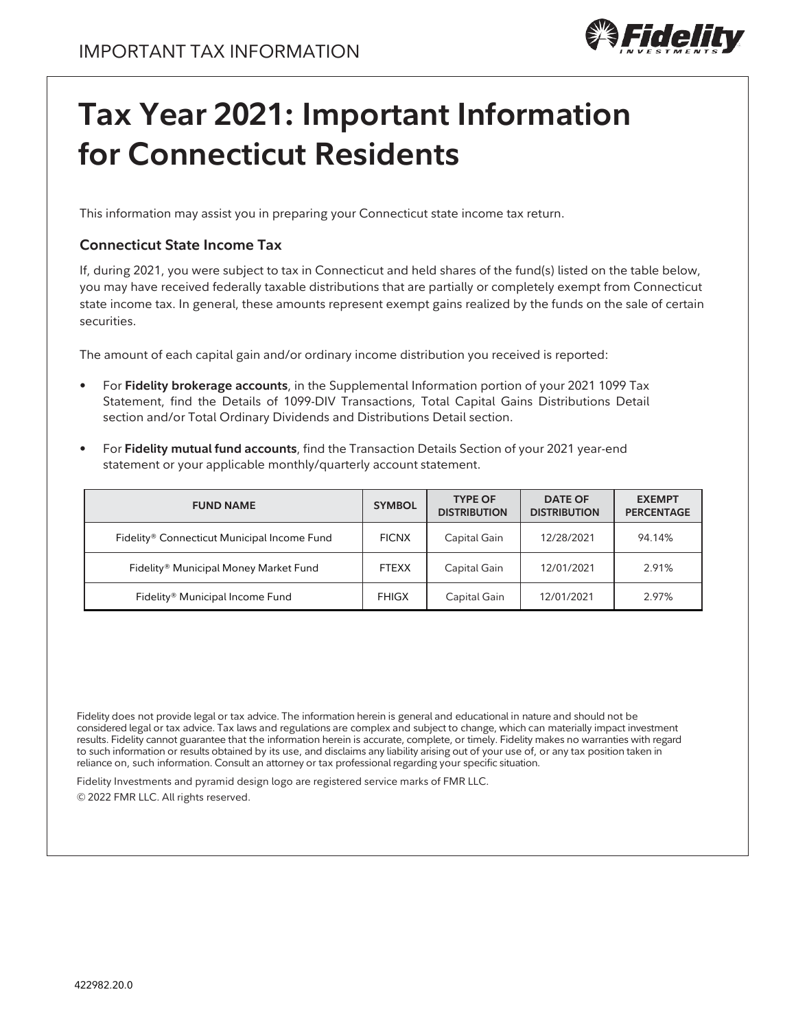

## **Tax Year 2021: Important Information for Connecticut Residents**

This information may assist you in preparing your Connecticut state income tax return.

## **Connecticut State Income Tax**

If, during 2021, you were subject to tax in Connecticut and held shares of the fund(s) listed on the table below, you may have received federally taxable distributions that are partially or completely exempt from Connecticut state income tax. In general, these amounts represent exempt gains realized by the funds on the sale of certain securities.

The amount of each capital gain and/or ordinary income distribution you received is reported:

- For **Fidelity brokerage accounts**, in the Supplemental Information portion of your 2021 1099 Tax Statement, find the Details of 1099-DIV Transactions, Total Capital Gains Distributions Detail section and/or Total Ordinary Dividends and Distributions Detail section.
- For **Fidelity mutual fund accounts**, find the Transaction Details Section of your 2021 year-end statement or your applicable monthly/quarterly account statement.

| <b>FUND NAME</b>                                  | <b>SYMBOL</b> | <b>TYPE OF</b><br><b>DISTRIBUTION</b> | <b>DATE OF</b><br><b>DISTRIBUTION</b> | <b>EXEMPT</b><br><b>PERCENTAGE</b> |
|---------------------------------------------------|---------------|---------------------------------------|---------------------------------------|------------------------------------|
| Fidelity® Connecticut Municipal Income Fund       | <b>FICNX</b>  | Capital Gain                          | 12/28/2021                            | 94.14%                             |
| Fidelity <sup>®</sup> Municipal Money Market Fund | <b>FTEXX</b>  | Capital Gain                          | 12/01/2021                            | 2.91%                              |
| Fidelity <sup>®</sup> Municipal Income Fund       | <b>FHIGX</b>  | Capital Gain                          | 12/01/2021                            | 2.97%                              |

Fidelity does not provide legal or tax advice. The information herein is general and educational in nature and should not be considered legal or tax advice. Tax laws and regulations are complex and subject to change, which can materially impact investment results. Fidelity cannot guarantee that the information herein is accurate, complete, or timely. Fidelity makes no warranties with regard to such information or results obtained by its use, and disclaims any liability arising out of your use of, or any tax position taken in reliance on, such information. Consult an attorney or tax professional regarding your specific situation.

Fidelity Investments and pyramid design logo are registered service marks of FMR LLC.

© 2022 FMR LLC. All rights reserved.